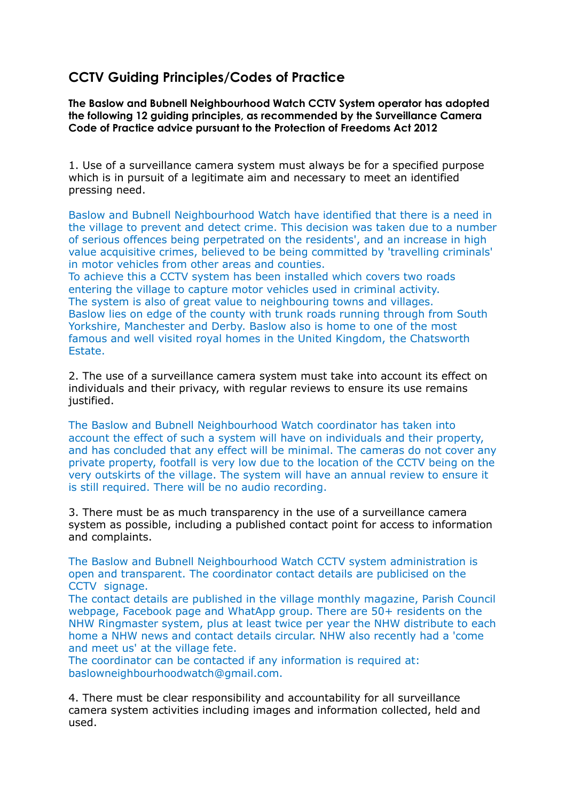## **CCTV Guiding Principles/Codes of Practice**

**The Baslow and Bubnell Neighbourhood Watch CCTV System operator has adopted the following 12 guiding principles, as recommended by the Surveillance Camera Code of Practice advice pursuant to the Protection of Freedoms Act 2012**

1. Use of a surveillance camera system must always be for a specified purpose which is in pursuit of a legitimate aim and necessary to meet an identified pressing need.

Baslow and Bubnell Neighbourhood Watch have identified that there is a need in the village to prevent and detect crime. This decision was taken due to a number of serious offences being perpetrated on the residents', and an increase in high value acquisitive crimes, believed to be being committed by 'travelling criminals' in motor vehicles from other areas and counties.

To achieve this a CCTV system has been installed which covers two roads entering the village to capture motor vehicles used in criminal activity. The system is also of great value to neighbouring towns and villages. Baslow lies on edge of the county with trunk roads running through from South Yorkshire, Manchester and Derby. Baslow also is home to one of the most famous and well visited royal homes in the United Kingdom, the Chatsworth Estate.

2. The use of a surveillance camera system must take into account its effect on individuals and their privacy, with regular reviews to ensure its use remains justified.

The Baslow and Bubnell Neighbourhood Watch coordinator has taken into account the effect of such a system will have on individuals and their property, and has concluded that any effect will be minimal. The cameras do not cover any private property, footfall is very low due to the location of the CCTV being on the very outskirts of the village. The system will have an annual review to ensure it is still required. There will be no audio recording.

3. There must be as much transparency in the use of a surveillance camera system as possible, including a published contact point for access to information and complaints.

The Baslow and Bubnell Neighbourhood Watch CCTV system administration is open and transparent. The coordinator contact details are publicised on the CCTV signage.

The contact details are published in the village monthly magazine, Parish Council webpage, Facebook page and WhatApp group. There are 50+ residents on the NHW Ringmaster system, plus at least twice per year the NHW distribute to each home a NHW news and contact details circular. NHW also recently had a 'come and meet us' at the village fete.

The coordinator can be contacted if any information is required at: baslowneighbourhoodwatch@gmail.com.

4. There must be clear responsibility and accountability for all surveillance camera system activities including images and information collected, held and used.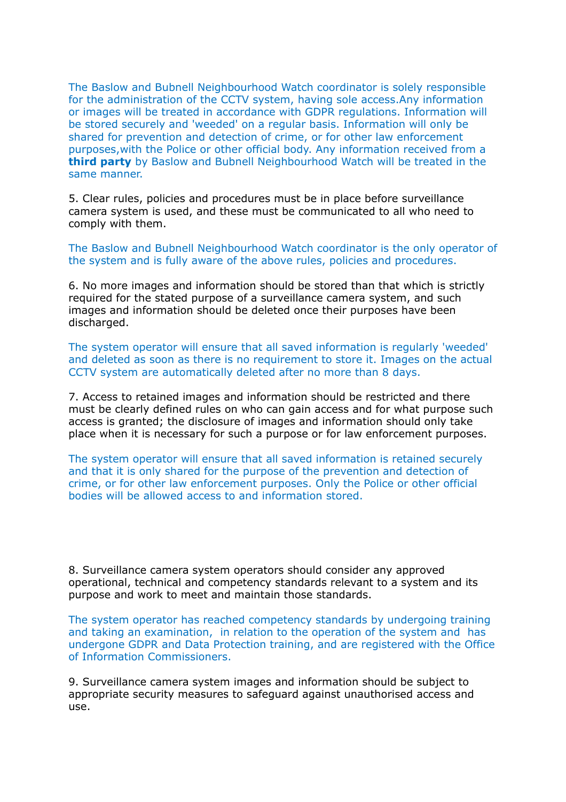The Baslow and Bubnell Neighbourhood Watch coordinator is solely responsible for the administration of the CCTV system, having sole access.Any information or images will be treated in accordance with GDPR regulations. Information will be stored securely and 'weeded' on a regular basis. Information will only be shared for prevention and detection of crime, or for other law enforcement purposes,with the Police or other official body. Any information received from a **third party** by Baslow and Bubnell Neighbourhood Watch will be treated in the same manner.

5. Clear rules, policies and procedures must be in place before surveillance camera system is used, and these must be communicated to all who need to comply with them.

The Baslow and Bubnell Neighbourhood Watch coordinator is the only operator of the system and is fully aware of the above rules, policies and procedures.

6. No more images and information should be stored than that which is strictly required for the stated purpose of a surveillance camera system, and such images and information should be deleted once their purposes have been discharged.

The system operator will ensure that all saved information is regularly 'weeded' and deleted as soon as there is no requirement to store it. Images on the actual CCTV system are automatically deleted after no more than 8 days.

7. Access to retained images and information should be restricted and there must be clearly defined rules on who can gain access and for what purpose such access is granted; the disclosure of images and information should only take place when it is necessary for such a purpose or for law enforcement purposes.

The system operator will ensure that all saved information is retained securely and that it is only shared for the purpose of the prevention and detection of crime, or for other law enforcement purposes. Only the Police or other official bodies will be allowed access to and information stored.

8. Surveillance camera system operators should consider any approved operational, technical and competency standards relevant to a system and its purpose and work to meet and maintain those standards.

The system operator has reached competency standards by undergoing training and taking an examination, in relation to the operation of the system and has undergone GDPR and Data Protection training, and are registered with the Office of Information Commissioners.

9. Surveillance camera system images and information should be subject to appropriate security measures to safeguard against unauthorised access and use.